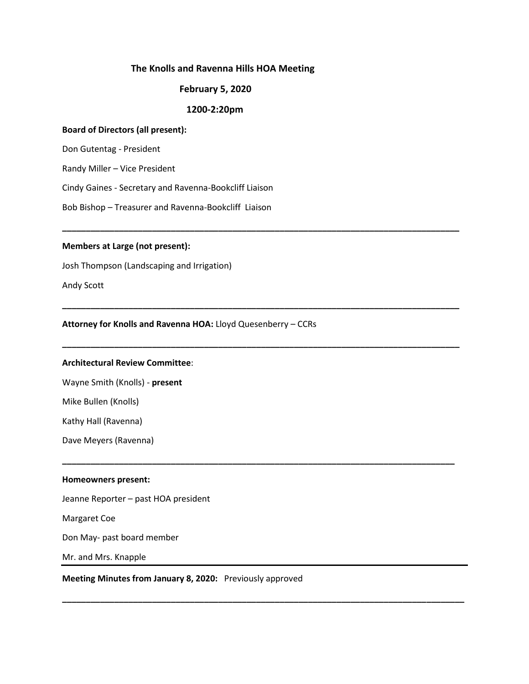## **The Knolls and Ravenna Hills HOA Meeting**

## **February 5, 2020**

## **1200-2:20pm**

**\_\_\_\_\_\_\_\_\_\_\_\_\_\_\_\_\_\_\_\_\_\_\_\_\_\_\_\_\_\_\_\_\_\_\_\_\_\_\_\_\_\_\_\_\_\_\_\_\_\_\_\_\_\_\_\_\_\_\_\_\_\_\_\_\_\_\_\_\_\_\_\_\_\_\_\_\_\_\_\_\_\_\_\_**

**\_\_\_\_\_\_\_\_\_\_\_\_\_\_\_\_\_\_\_\_\_\_\_\_\_\_\_\_\_\_\_\_\_\_\_\_\_\_\_\_\_\_\_\_\_\_\_\_\_\_\_\_\_\_\_\_\_\_\_\_\_\_\_\_\_\_\_\_\_\_\_\_\_\_\_\_\_\_\_\_\_\_\_\_**

**\_\_\_\_\_\_\_\_\_\_\_\_\_\_\_\_\_\_\_\_\_\_\_\_\_\_\_\_\_\_\_\_\_\_\_\_\_\_\_\_\_\_\_\_\_\_\_\_\_\_\_\_\_\_\_\_\_\_\_\_\_\_\_\_\_\_\_\_\_\_\_\_\_\_\_\_\_\_\_\_\_\_\_\_**

**\_\_\_\_\_\_\_\_\_\_\_\_\_\_\_\_\_\_\_\_\_\_\_\_\_\_\_\_\_\_\_\_\_\_\_\_\_\_\_\_\_\_\_\_\_\_\_\_\_\_\_\_\_\_\_\_\_\_\_\_\_\_\_\_\_\_\_\_\_\_\_\_\_\_\_\_\_\_\_\_\_\_\_**

**\_\_\_\_\_\_\_\_\_\_\_\_\_\_\_\_\_\_\_\_\_\_\_\_\_\_\_\_\_\_\_\_\_\_\_\_\_\_\_\_\_\_\_\_\_\_\_\_\_\_\_\_\_\_\_\_\_\_\_\_\_\_\_\_\_\_\_\_\_\_\_\_\_\_\_\_\_\_\_\_\_\_\_\_\_**

## **Board of Directors (all present):**

Don Gutentag - President

Randy Miller – Vice President

Cindy Gaines - Secretary and Ravenna-Bookcliff Liaison

Bob Bishop – Treasurer and Ravenna-Bookcliff Liaison

#### **Members at Large (not present):**

Josh Thompson (Landscaping and Irrigation)

Andy Scott

#### **Attorney for Knolls and Ravenna HOA:** Lloyd Quesenberry – CCRs

# **Architectural Review Committee**:

Wayne Smith (Knolls) - **present**

Mike Bullen (Knolls)

Kathy Hall (Ravenna)

Dave Meyers (Ravenna)

#### **Homeowners present:**

Jeanne Reporter – past HOA president

Margaret Coe

Don May- past board member

Mr. and Mrs. Knapple

**Meeting Minutes from January 8, 2020:** Previously approved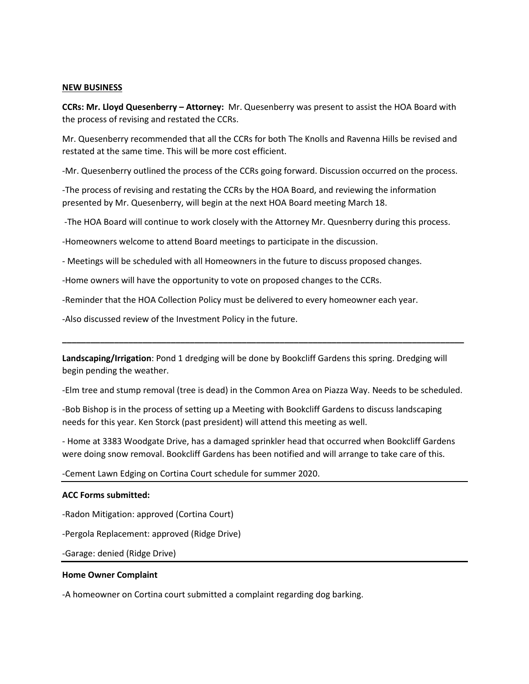#### **NEW BUSINESS**

**CCRs: Mr. Lloyd Quesenberry – Attorney:** Mr. Quesenberry was present to assist the HOA Board with the process of revising and restated the CCRs.

Mr. Quesenberry recommended that all the CCRs for both The Knolls and Ravenna Hills be revised and restated at the same time. This will be more cost efficient.

-Mr. Quesenberry outlined the process of the CCRs going forward. Discussion occurred on the process.

-The process of revising and restating the CCRs by the HOA Board, and reviewing the information presented by Mr. Quesenberry, will begin at the next HOA Board meeting March 18.

-The HOA Board will continue to work closely with the Attorney Mr. Quesnberry during this process.

-Homeowners welcome to attend Board meetings to participate in the discussion.

- Meetings will be scheduled with all Homeowners in the future to discuss proposed changes.

-Home owners will have the opportunity to vote on proposed changes to the CCRs.

-Reminder that the HOA Collection Policy must be delivered to every homeowner each year.

-Also discussed review of the Investment Policy in the future.

**Landscaping/Irrigation**: Pond 1 dredging will be done by Bookcliff Gardens this spring. Dredging will begin pending the weather.

-Elm tree and stump removal (tree is dead) in the Common Area on Piazza Way. Needs to be scheduled.

**\_\_\_\_\_\_\_\_\_\_\_\_\_\_\_\_\_\_\_\_\_\_\_\_\_\_\_\_\_\_\_\_\_\_\_\_\_\_\_\_\_\_\_\_\_\_\_\_\_\_\_\_\_\_\_\_\_\_\_\_\_\_\_\_\_\_\_\_\_\_\_\_\_\_\_\_\_\_\_\_\_\_\_\_\_**

-Bob Bishop is in the process of setting up a Meeting with Bookcliff Gardens to discuss landscaping needs for this year. Ken Storck (past president) will attend this meeting as well.

- Home at 3383 Woodgate Drive, has a damaged sprinkler head that occurred when Bookcliff Gardens were doing snow removal. Bookcliff Gardens has been notified and will arrange to take care of this.

-Cement Lawn Edging on Cortina Court schedule for summer 2020.

## **ACC Forms submitted:**

-Radon Mitigation: approved (Cortina Court)

-Pergola Replacement: approved (Ridge Drive)

-Garage: denied (Ridge Drive)

## **Home Owner Complaint**

-A homeowner on Cortina court submitted a complaint regarding dog barking.